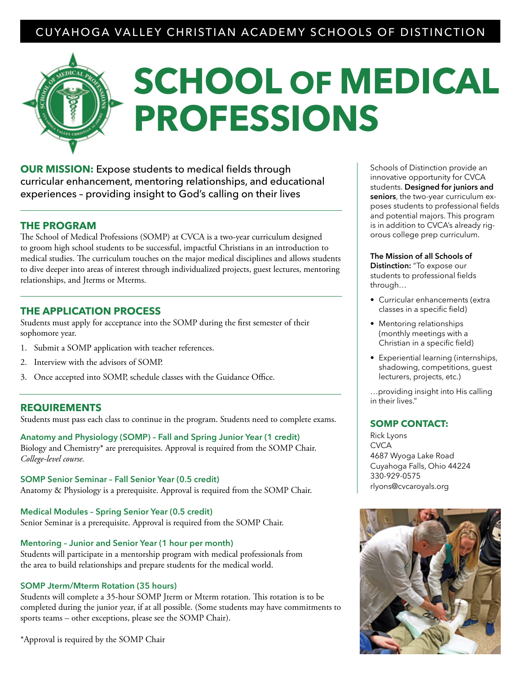### CUYAHOGA VALLEY CHRISTIAN ACADEMY SCHOOLS OF DISTINCTION

# **SCHOOL OF MEDICAL PROFESSIONS**

**OUR MISSION:** Expose students to medical fields through curricular enhancement, mentoring relationships, and educational experiences – providing insight to God's calling on their lives

#### **THE PROGRAM**

The School of Medical Professions (SOMP) at CVCA is a two-year curriculum designed to groom high school students to be successful, impactful Christians in an introduction to medical studies. The curriculum touches on the major medical disciplines and allows students to dive deeper into areas of interest through individualized projects, guest lectures, mentoring relationships, and Jterms or Mterms.

#### **THE APPLICATION PROCESS**

Students must apply for acceptance into the SOMP during the first semester of their sophomore year.

- 1. Submit a SOMP application with teacher references.
- 2. Interview with the advisors of SOMP.
- 3. Once accepted into SOMP, schedule classes with the Guidance Office.

#### **REQUIREMENTS**

Students must pass each class to continue in the program. Students need to complete exams.

**Anatomy and Physiology (SOMP) – Fall and Spring Junior Year (1 credit)** Biology and Chemistry\* are prerequisites. Approval is required from the SOMP Chair. *College-level course.*

**SOMP Senior Seminar – Fall Senior Year (0.5 credit)** Anatomy & Physiology is a prerequisite. Approval is required from the SOMP Chair.

**Medical Modules – Spring Senior Year (0.5 credit)** Senior Seminar is a prerequisite. Approval is required from the SOMP Chair.

#### **Mentoring – Junior and Senior Year (1 hour per month)**

Students will participate in a mentorship program with medical professionals from the area to build relationships and prepare students for the medical world.

#### **SOMP Jterm/Mterm Rotation (35 hours)**

Students will complete a 35-hour SOMP Jterm or Mterm rotation. This rotation is to be completed during the junior year, if at all possible. (Some students may have commitments to sports teams – other exceptions, please see the SOMP Chair).

\*Approval is required by the SOMP Chair

Schools of Distinction provide an innovative opportunity for CVCA students. **Designed for juniors and seniors**, the two-year curriculum exposes students to professional fields and potential majors. This program is in addition to CVCA's already rigorous college prep curriculum.

**The Mission of all Schools of Distinction:** "To expose our students to professional fields through…

- Curricular enhancements (extra classes in a specific field)
- Mentoring relationships (monthly meetings with a Christian in a specific field)
- Experiential learning (internships, shadowing, competitions, guest lecturers, projects, etc.)

…providing insight into His calling in their lives."

#### **SOMP CONTACT:**

Rick Lyons **CVCA** 4687 Wyoga Lake Road Cuyahoga Falls, Ohio 44224 330-929-0575 rlyons@cvcaroyals.org